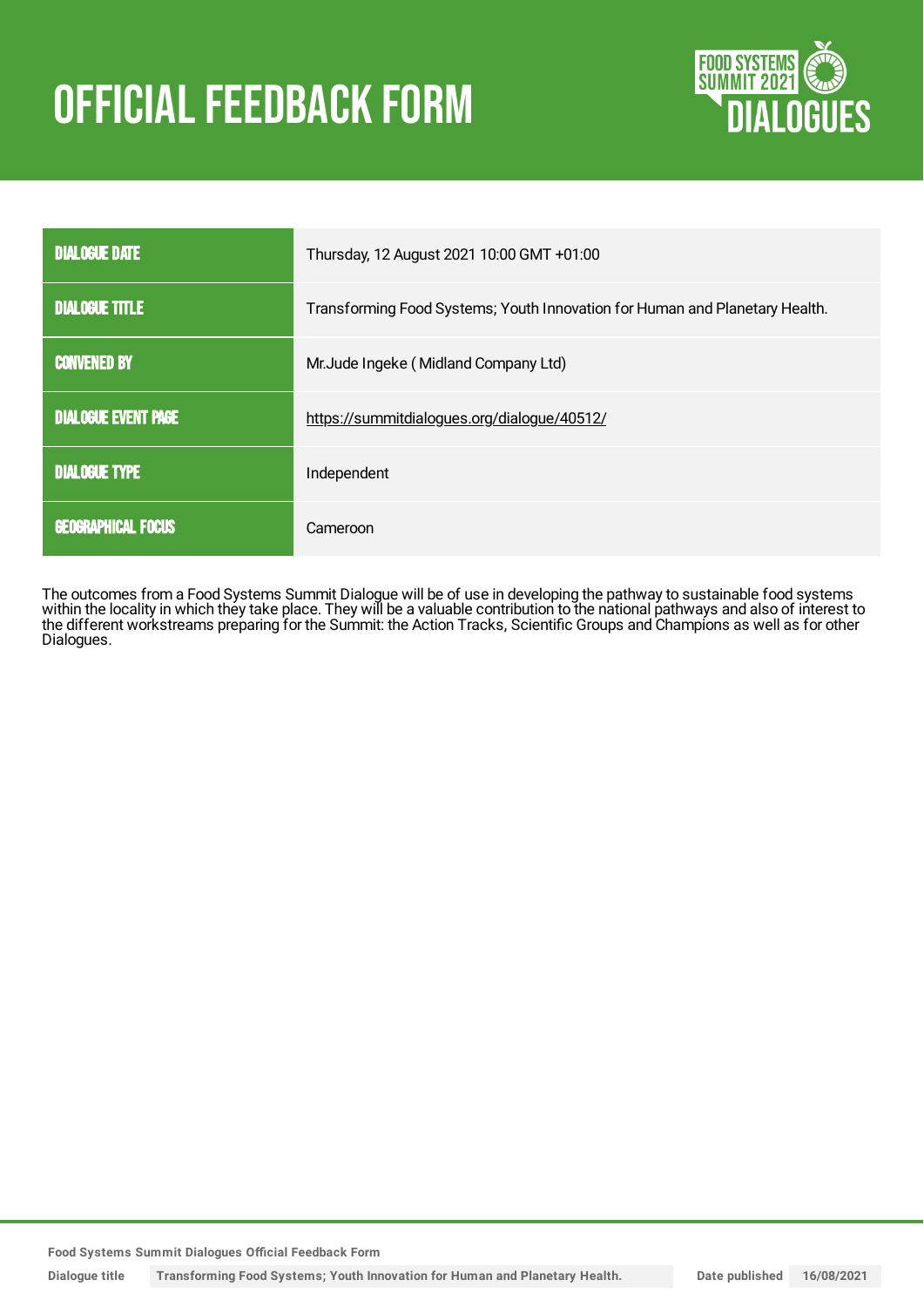# **OFFICIAL FEEDBACK FORM**



| <b>DIALOGUE DATE</b>       | Thursday, 12 August 2021 10:00 GMT +01:00                                   |
|----------------------------|-----------------------------------------------------------------------------|
| <b>DIALOGUE TITLE</b>      | Transforming Food Systems; Youth Innovation for Human and Planetary Health. |
| <b>CONVENED BY</b>         | Mr. Jude Ingeke (Midland Company Ltd)                                       |
| <b>DIALOGUE EVENT PAGE</b> | https://summitdialogues.org/dialogue/40512/                                 |
| <b>DIALOGUE TYPE</b>       | Independent                                                                 |
| <b>GEOGRAPHICAL FOCUS</b>  | Cameroon                                                                    |

The outcomes from a Food Systems Summit Dialogue will be of use in developing the pathway to sustainable food systems within the locality in which they take place. They will be a valuable contribution to the national pathways and also of interest to the different workstreams preparing for the Summit: the Action Tracks, Scientific Groups and Champions as well as for other Dialogues.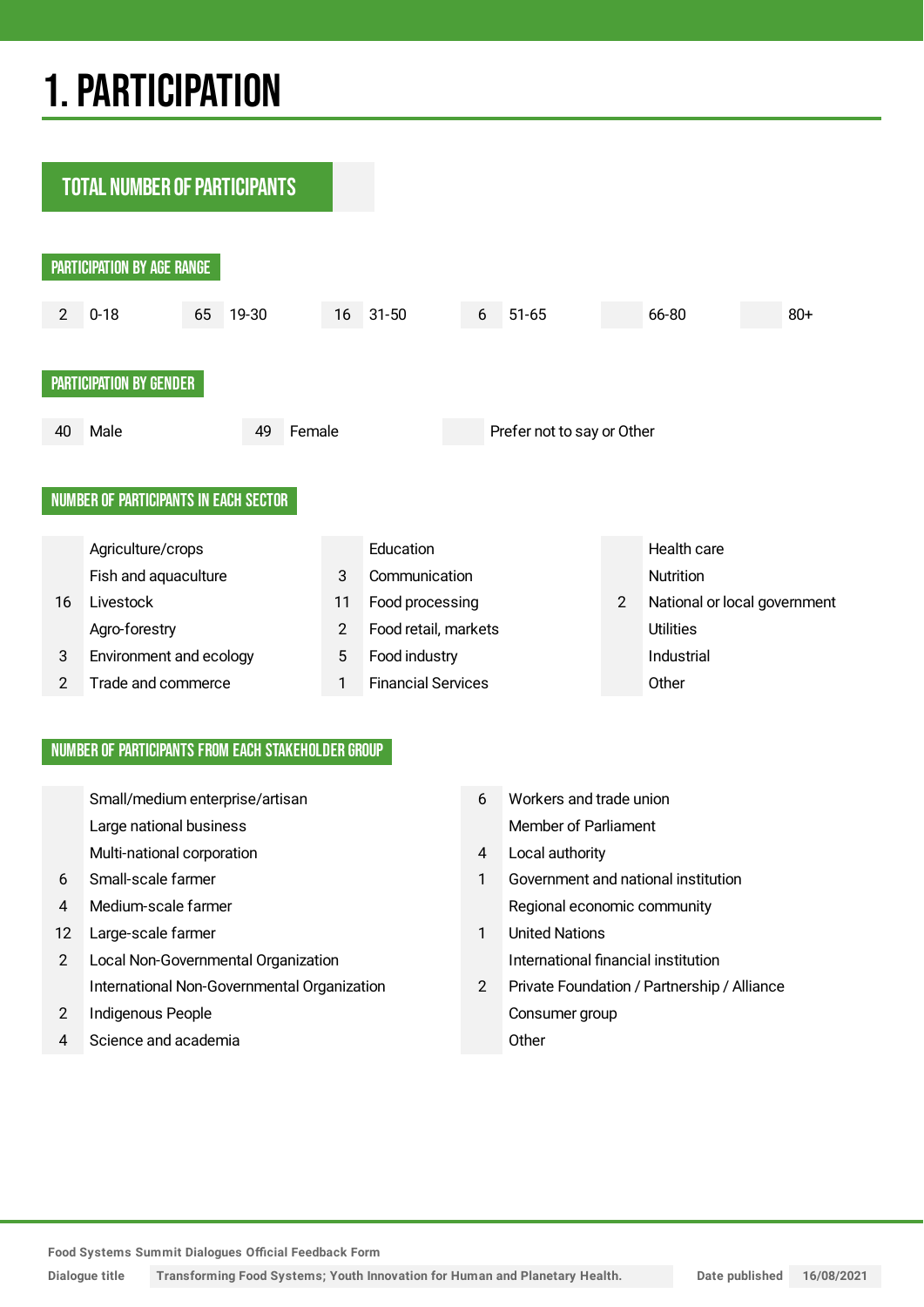## 1.PARTICIPATION

**TOTAL NUMBER OF PARTICIPANTS** PARTICIPATION BY AGE RANGE 2 0-18 65 19-30 16 31-50 6 51-65 66-80 80+ PARTICIPATION BY GENDER 40 Male 49 Female Prefer not to say or Other NUMBER OF PARTICIPANTS IN EACH SECTOR Agriculture/crops **Education** Education **Education** Health care Fish and aquaculture **3** Communication **Communication** Nutrition 16 Livestock 11 Food processing 2 National or local government Agro-forestry 2 Food retail, markets Utilities 3 Environment and ecology 5 Food industry 10 Food industrial 2 Trade and commerce 1 Financial Services Other

## NUMBER OF PARTICIPANTS FROM EACH STAKEHOLDER GROUP

|    | Small/medium enterprise/artisan             | 6              | Workers and trade union                     |
|----|---------------------------------------------|----------------|---------------------------------------------|
|    |                                             |                |                                             |
|    | Large national business                     |                | Member of Parliament                        |
|    | Multi-national corporation                  | 4              | Local authority                             |
| 6  | Small-scale farmer                          |                | Government and national institution         |
| 4  | Medium-scale farmer                         |                | Regional economic community                 |
| 12 | Large-scale farmer                          |                | <b>United Nations</b>                       |
| 2  | Local Non-Governmental Organization         |                | International financial institution         |
|    | International Non-Governmental Organization | $\overline{2}$ | Private Foundation / Partnership / Alliance |
| 2  | Indigenous People                           |                | Consumer group                              |
| 4  | Science and academia                        |                | Other                                       |
|    |                                             |                |                                             |

**Food Systems Summit Dialogues Official Feedback Form**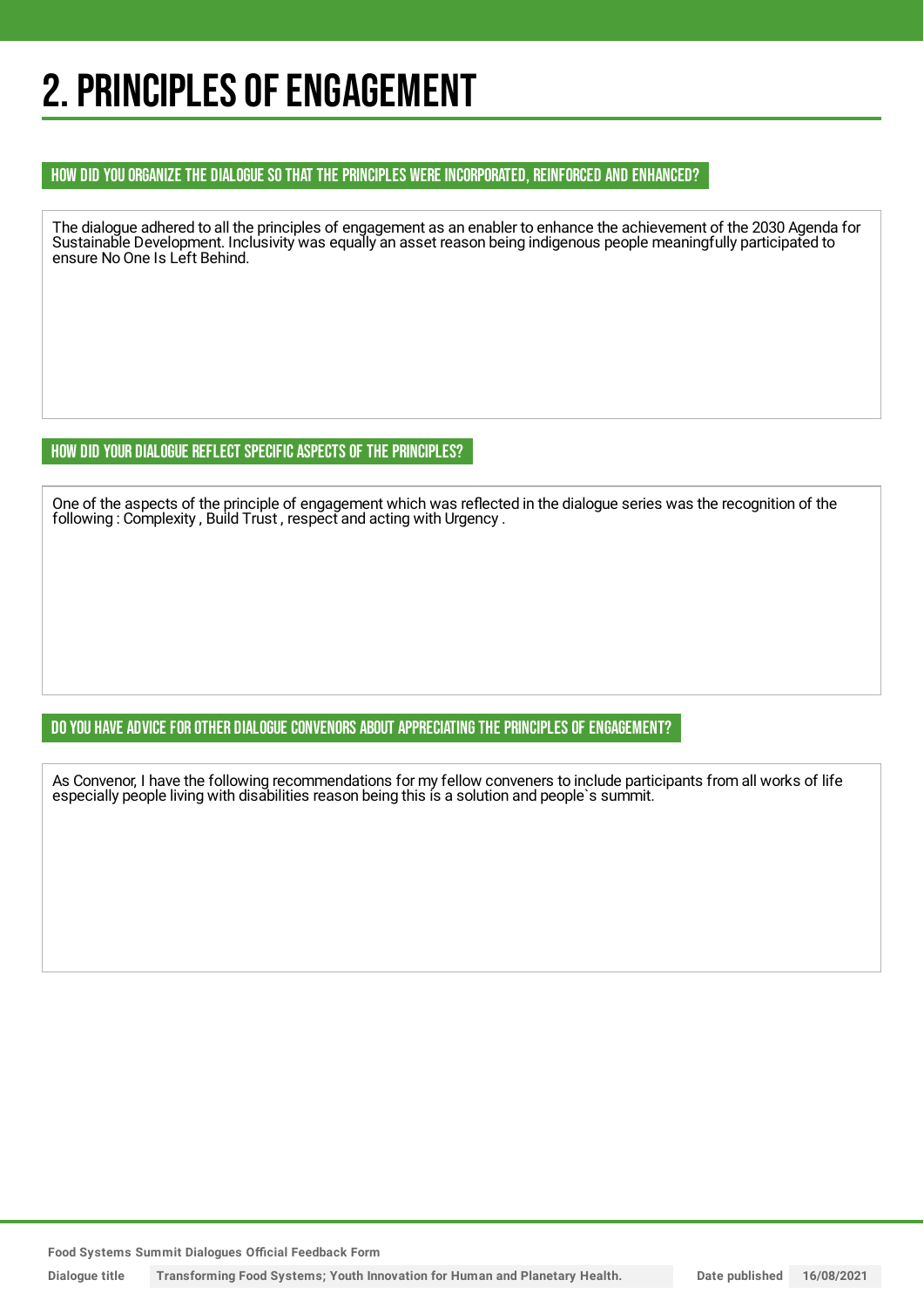## 2. PRINCIPLES OF ENGAGEMENT

### HOW DID YOU ORGANIZE THE DIALOGUE SO THAT THE PRINCIPLES WERE INCORPORATED, REINFORCED AND ENHANCED?

The dialogue adhered to all the principles of engagement as an enabler to enhance the achievement of the 2030 Agenda for Sustainable Development. Inclusivity was equally an asset reason being indigenous people meaningfully participated to ensure No One Is Left Behind.

## HOW DID YOUR DIALOGUE REFLECT SPECIFIC ASPECTS OF THE PRINCIPLES?

One of the aspects of the principle of engagement which was reflected in the dialogue series was the recognition of the following: Complexity, Build Trust, respect and acting with Urgency.

## DO YOU HAVE ADVICE FOR OTHER DIALOGUE CONVENORS ABOUT APPRECIATING THE PRINCIPLES OF ENGAGEMENT?

As Convenor, I have the following recommendations for my fellow conveners to include participants from all works of life especially people living with disabilities reason being this is a solution and people`s summit.

**Food Systems Summit Dialogues Official Feedback Form**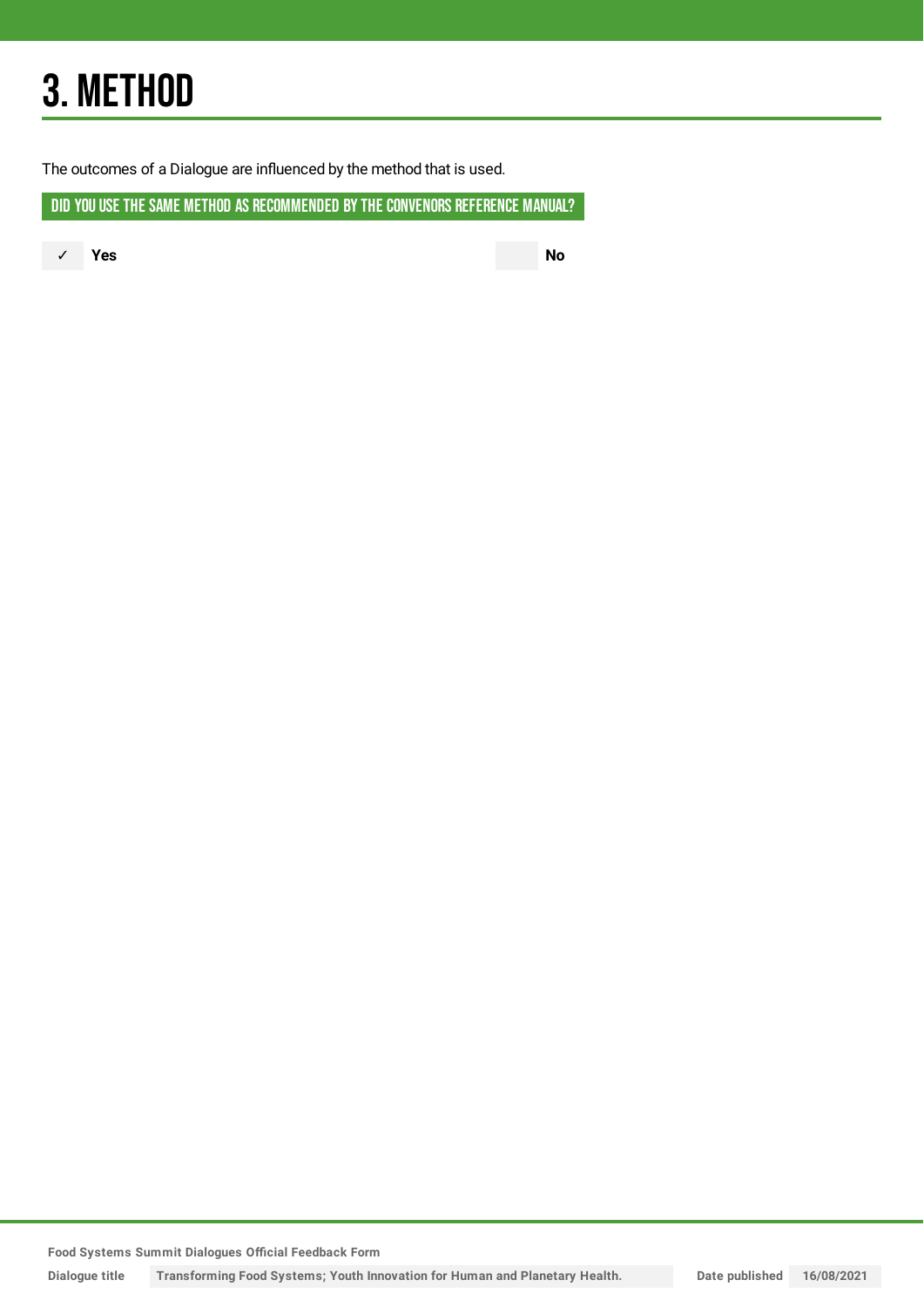## 3. METHOD

The outcomes of a Dialogue are influenced by the method that is used.

DID YOU USE THE SAME METHOD AS RECOMMENDED BY THE CONVENORS REFERENCE MANUAL?

✓ **Yes No**

**Food Systems Summit Dialogues Official Feedback Form**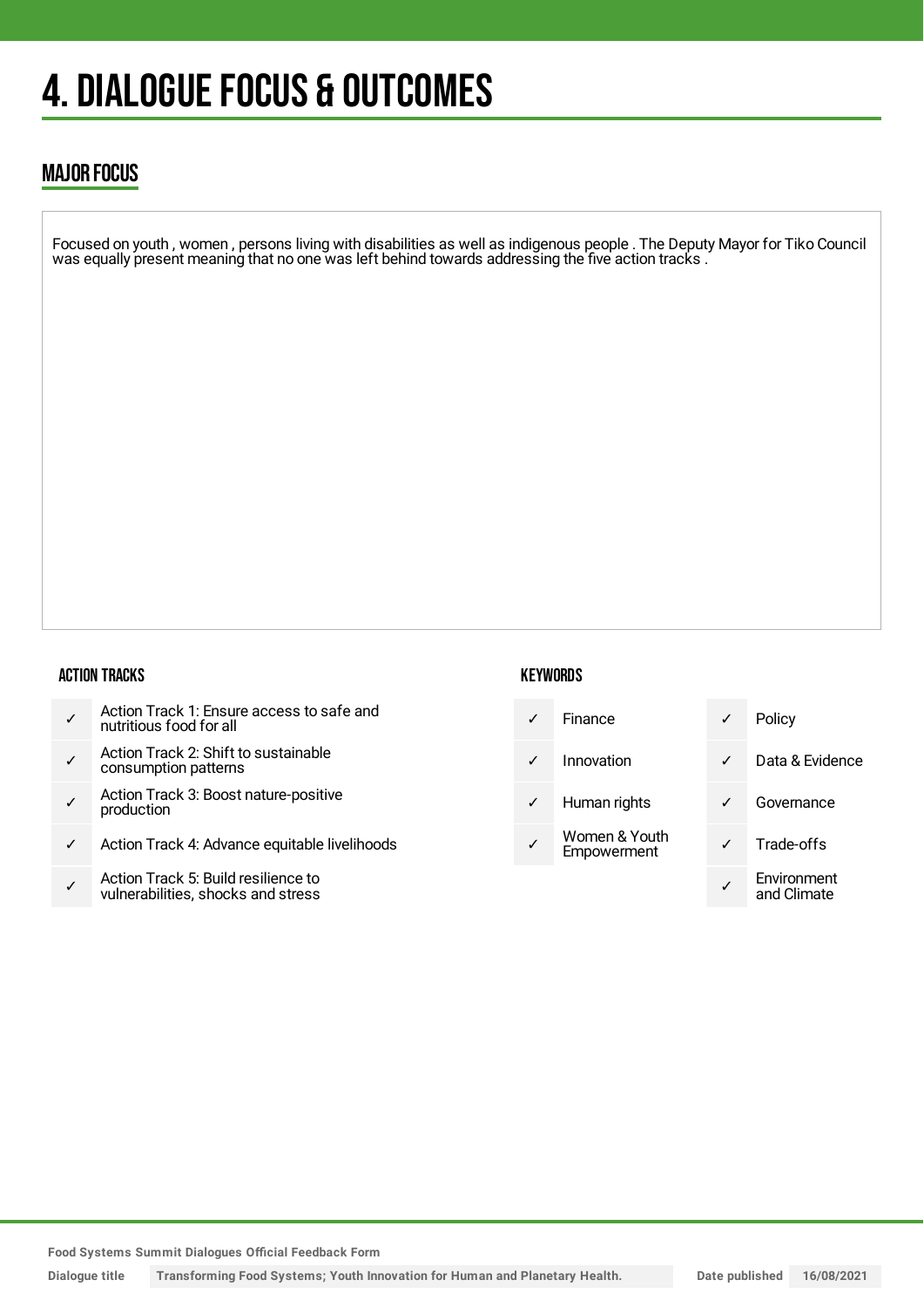## 4. DIALOGUE FOCUS & OUTCOMES

## MAJOR FOCUS

Focused on youth , women , persons living with disabilities as well as indigenous people . The Deputy Mayor for Tiko Council was equally present meaning that no one was left behind towards addressing the five action tracks .

#### ACTION TRACKS

- ✓ Action Track 1: Ensure access to safe and nutritious food for all
- ✓ Action Track 2: Shift to sustainable consumption patterns
- ✓ Action Track 3: Boost nature-positive production
- ✓ Action Track 4: Advance equitable livelihoods
- ✓ Action Track 5: Build resilience to vulnerabilities, shocks and stress

## **KEYWORDS**

|   | Finance                      | ✓ | Policy                     |
|---|------------------------------|---|----------------------------|
|   | Innovation                   | ✓ | Data & Evide               |
| ✓ | Human rights                 |   | Governance                 |
|   | Women & Youth<br>Empowerment |   | Trade-offs                 |
|   |                              |   | Environment<br>and Climate |

**Food Systems Summit Dialogues Official Feedback Form**

**Dialogue title Transforming Food Systems; Youth Innovation for Human and Planetary Health. Date published 16/08/2021**

& Evidence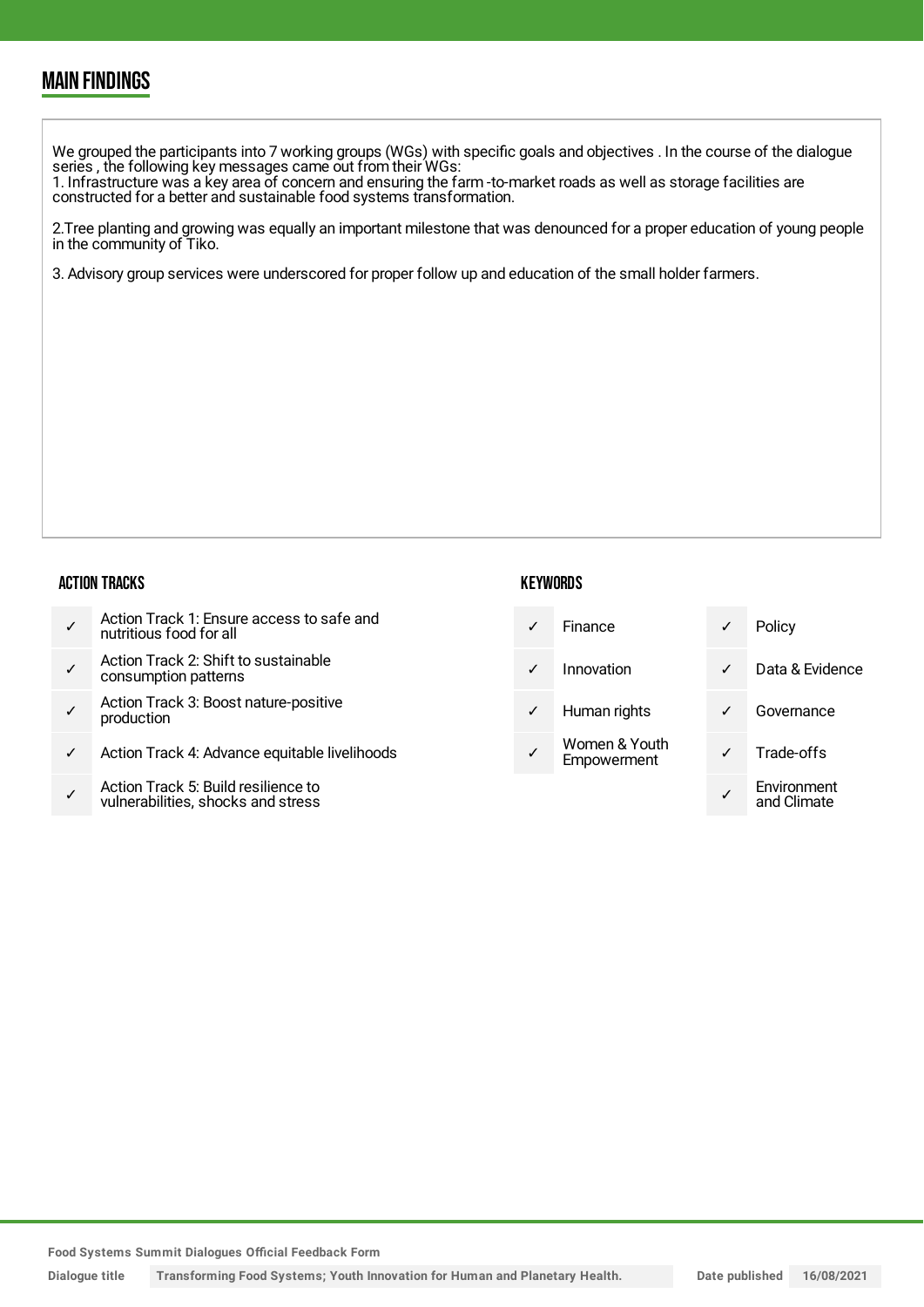## MAIN FINDINGS

We grouped the participants into 7 working groups (WGs) with specific goals and objectives . In the course of the dialogue series , the following key messages came out from their WGs:

1. Infrastructure was a key area of concern and ensuring the farm -to-market roads as well as storage facilities are constructed for a better and sustainable food systems transformation.

2.Tree planting and growing was equally an important milestone that was denounced for a proper education of young people in the community of Tiko.

3. Advisory group services were underscored for proper follow up and education of the small holder farmers.

#### ACTION TRACKS

|  | Action Track 1: Ensure access to safe and<br>nutritious food for all |
|--|----------------------------------------------------------------------|
|--|----------------------------------------------------------------------|

- ✓ Action Track 2: Shift to sustainable consumption patterns
- ✓ Action Track 3: Boost nature-positive production
- Action Track 4: Advance equitable livelihoods
- ✓ Action Track 5: Build resilience to vulnerabilities, shocks and stress

### **KEYWORDS**

| Finance                      |  |
|------------------------------|--|
| Innovation                   |  |
| Human rights                 |  |
| Women & Youth<br>Empowerment |  |

Policy Data & Evidence Governance Trade-offs ✓ Environment and Climate

**Food Systems Summit Dialogues Official Feedback Form**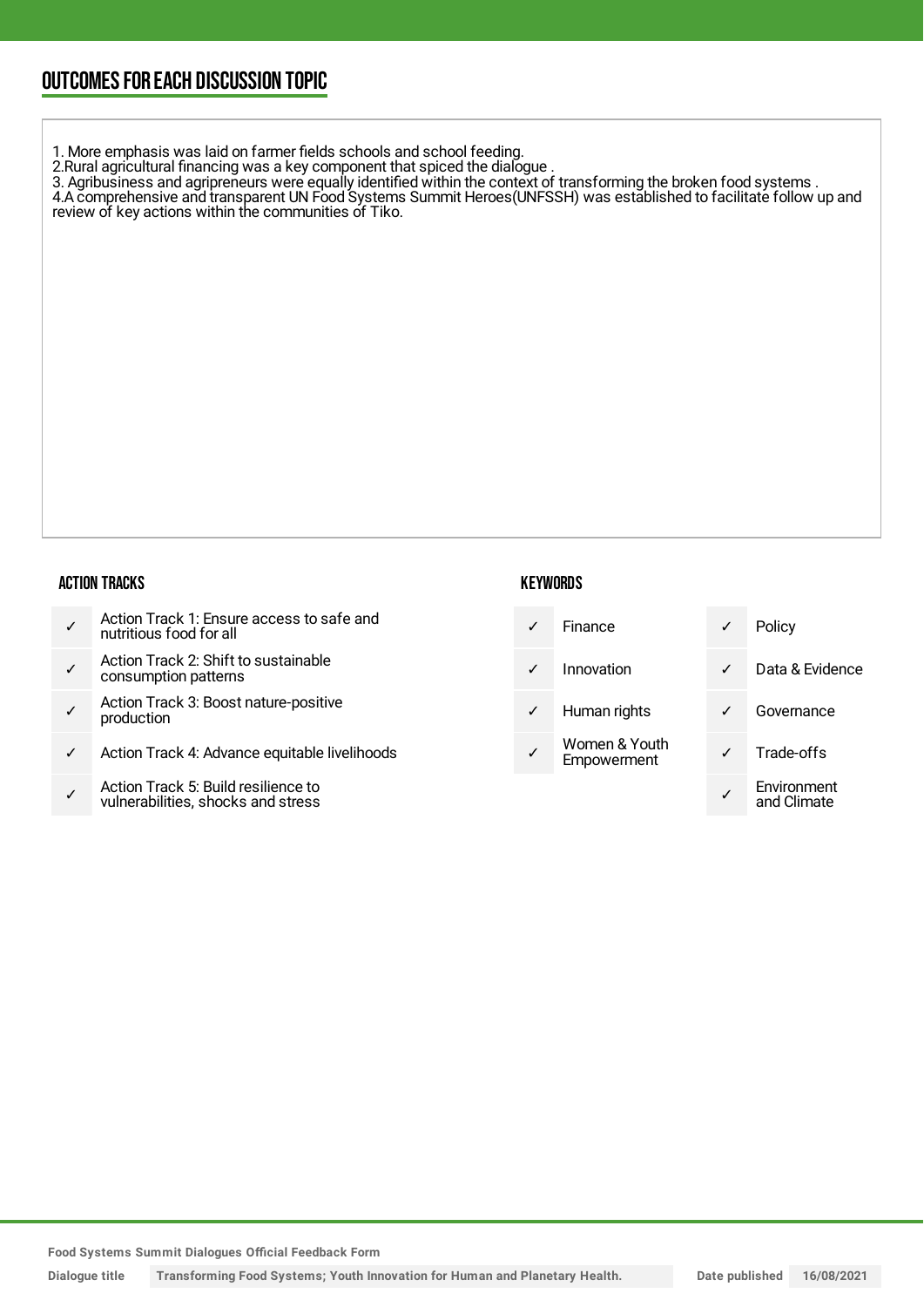## OUTCOMESFOR EACH DISCUSSION TOPIC

1. More emphasis was laid on farmer fields schools and school feeding.

2.Rural agricultural financing was a key component that spiced the dialogue .

3. Agribusiness and agripreneurs were equally identified within the context of transforming the broken food systems . 4.A comprehensive and transparent UN Food Systems Summit Heroes(UNFSSH) was established to facilitate follow up and review of key actions within the communities of Tiko.

ACTION TRACKS

- ✓ Action Track 1: Ensure access to safe and nutritious food for all
- ✓ Action Track 2: Shift to sustainable consumption patterns
- ✓ Action Track 3: Boost nature-positive production
- Action Track 4: Advance equitable livelihoods
- ✓ Action Track 5: Build resilience to vulnerabilities, shocks and stress

## **KEYWORDS**

| $\checkmark$ | Finance       |              | Policy          |
|--------------|---------------|--------------|-----------------|
| $\checkmark$ | Innovation    | $\checkmark$ | Data & Evidence |
| $\checkmark$ | Human rights  | $\checkmark$ | Governance      |
|              | Women & Youth |              | Trade-offe      |

|              | Finance                      |   | Policy                     |
|--------------|------------------------------|---|----------------------------|
| ✓            | Innovation                   | ✓ | Data & Evidence            |
| $\checkmark$ | Human rights                 |   | Governance                 |
|              | Women & Youth<br>Empowerment |   | Trade-offs                 |
|              |                              |   | Environment<br>and Climate |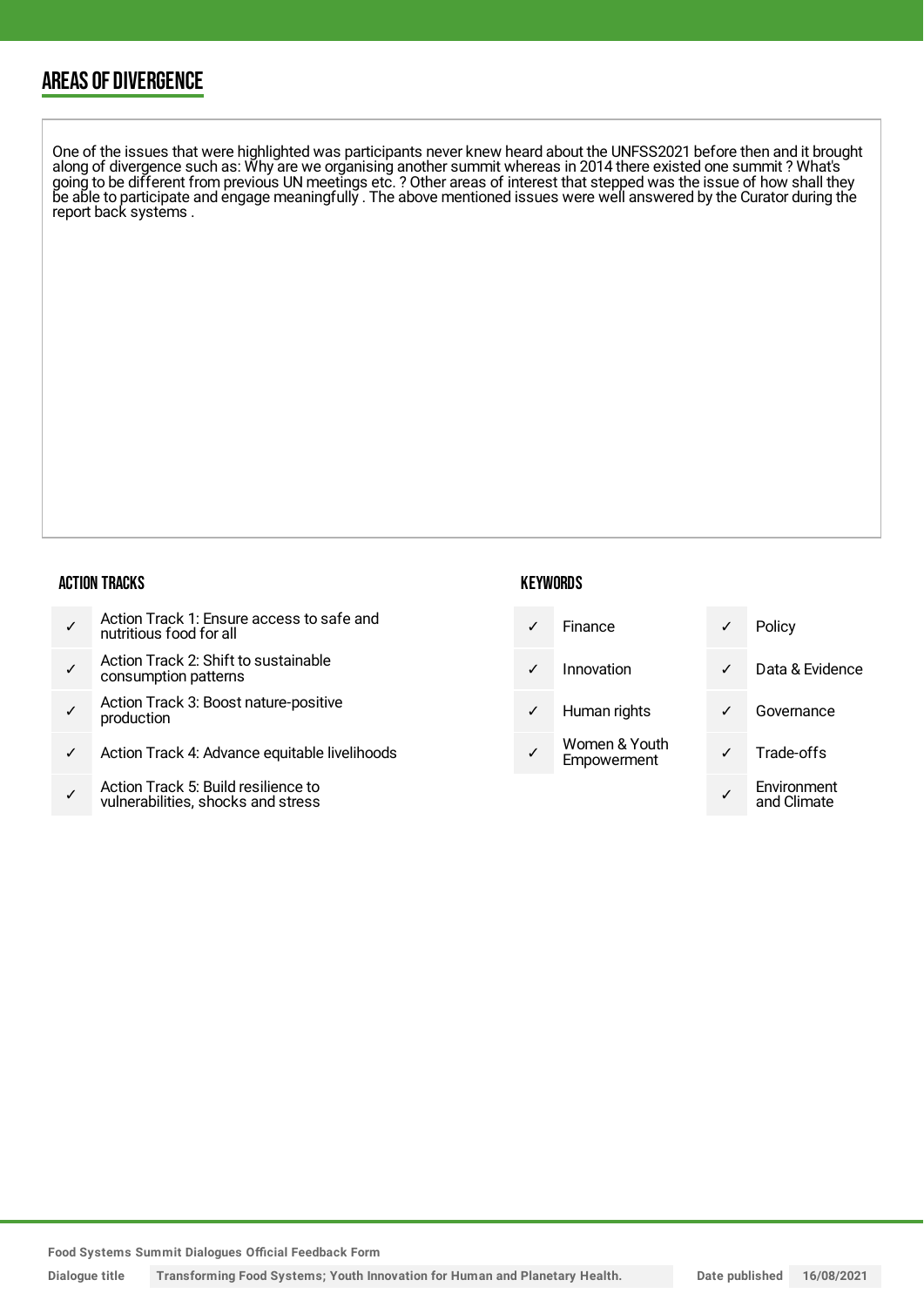## AREAS OF DIVERGENCE

One of the issues that were highlighted was participants never knew heard about the UNFSS2021 before then and it brought along of divergence such as: Why are we organising another summit whereas in 2014 there existed one summit ? What's going to be different from previous UN meetings etc. ? Other areas of interest that stepped was the issue of how shall they be able to participate and engage meaningfully . The above mentioned issues were well answered by the Curator during the report back systems .

#### ACTION TRACKS

|  | Action Track 1: Ensure access to safe and<br>nutritious food for all |
|--|----------------------------------------------------------------------|
|--|----------------------------------------------------------------------|

- ✓ Action Track 2: Shift to sustainable consumption patterns
- ✓ Action Track 3: Boost nature-positive production
- Action Track 4: Advance equitable livelihoods
- ✓ Action Track 5: Build resilience to vulnerabilities, shocks and stress

### **KEYWORDS**

| $\checkmark$ | Finance    | Policy |
|--------------|------------|--------|
| $\checkmark$ | Innovation | Data 8 |

- Human rights
- Women & Youth Empowerment

| ✓            | Finance                      |   | Policy                     |
|--------------|------------------------------|---|----------------------------|
| ✓            | Innovation                   | ✓ | Data & Evidence            |
| $\checkmark$ | Human rights                 |   | Governance                 |
|              | Women & Youth<br>Empowerment |   | Trade-offs                 |
|              |                              |   | Environment<br>and Climate |

**Food Systems Summit Dialogues Official Feedback Form**